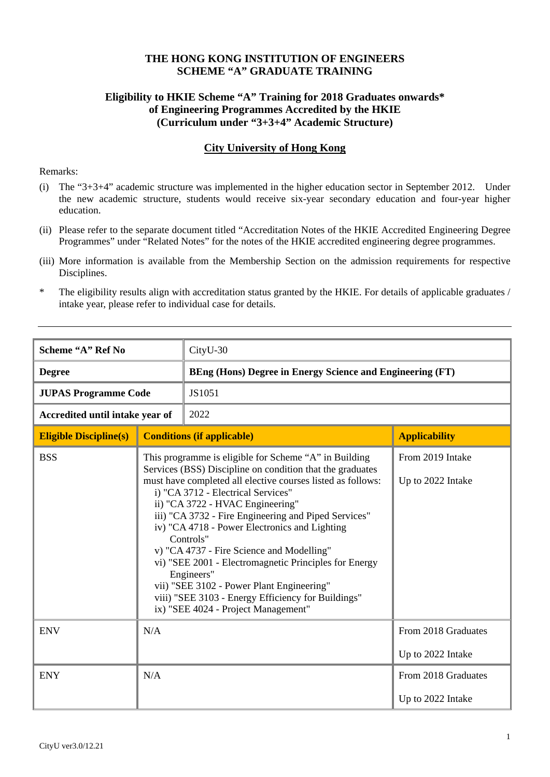#### **THE HONG KONG INSTITUTION OF ENGINEERS SCHEME "A" GRADUATE TRAINING**

#### **Eligibility to HKIE Scheme "A" Training for 2018 Graduates onwards\* of Engineering Programmes Accredited by the HKIE (Curriculum under "3+3+4" Academic Structure)**

#### **City University of Hong Kong**

#### Remarks:

- (i) The "3+3+4" academic structure was implemented in the higher education sector in September 2012. Under the new academic structure, students would receive six-year secondary education and four-year higher education.
- (ii) Please refer to the separate document titled "Accreditation Notes of the HKIE Accredited Engineering Degree Programmes" under "Related Notes" for the notes of the HKIE accredited engineering degree programmes.
- (iii) More information is available from the Membership Section on the admission requirements for respective Disciplines.

<sup>\*</sup> The eligibility results align with accreditation status granted by the HKIE. For details of applicable graduates / intake year, please refer to individual case for details.

| Scheme "A" Ref No               |                                                                                                                                                                                                                                                                                                                                                                                                                                                                                                                                                                                                                                                 | CityU-30                                                         |                                          |  |
|---------------------------------|-------------------------------------------------------------------------------------------------------------------------------------------------------------------------------------------------------------------------------------------------------------------------------------------------------------------------------------------------------------------------------------------------------------------------------------------------------------------------------------------------------------------------------------------------------------------------------------------------------------------------------------------------|------------------------------------------------------------------|------------------------------------------|--|
| <b>Degree</b>                   |                                                                                                                                                                                                                                                                                                                                                                                                                                                                                                                                                                                                                                                 | <b>BEng (Hons) Degree in Energy Science and Engineering (FT)</b> |                                          |  |
| <b>JUPAS Programme Code</b>     |                                                                                                                                                                                                                                                                                                                                                                                                                                                                                                                                                                                                                                                 | JS1051                                                           |                                          |  |
| Accredited until intake year of |                                                                                                                                                                                                                                                                                                                                                                                                                                                                                                                                                                                                                                                 | 2022                                                             |                                          |  |
| <b>Eligible Discipline(s)</b>   |                                                                                                                                                                                                                                                                                                                                                                                                                                                                                                                                                                                                                                                 | <b>Conditions (if applicable)</b>                                | <b>Applicability</b>                     |  |
| <b>BSS</b>                      | This programme is eligible for Scheme "A" in Building<br>Services (BSS) Discipline on condition that the graduates<br>must have completed all elective courses listed as follows:<br>i) "CA 3712 - Electrical Services"<br>ii) "CA 3722 - HVAC Engineering"<br>iii) "CA 3732 - Fire Engineering and Piped Services"<br>iv) "CA 4718 - Power Electronics and Lighting<br>Controls"<br>v) "CA 4737 - Fire Science and Modelling"<br>vi) "SEE 2001 - Electromagnetic Principles for Energy<br>Engineers"<br>vii) "SEE 3102 - Power Plant Engineering"<br>viii) "SEE 3103 - Energy Efficiency for Buildings"<br>ix) "SEE 4024 - Project Management" |                                                                  | From 2019 Intake<br>Up to 2022 Intake    |  |
| <b>ENV</b>                      | N/A                                                                                                                                                                                                                                                                                                                                                                                                                                                                                                                                                                                                                                             |                                                                  | From 2018 Graduates<br>Up to 2022 Intake |  |
| <b>ENY</b>                      | N/A                                                                                                                                                                                                                                                                                                                                                                                                                                                                                                                                                                                                                                             |                                                                  | From 2018 Graduates<br>Up to 2022 Intake |  |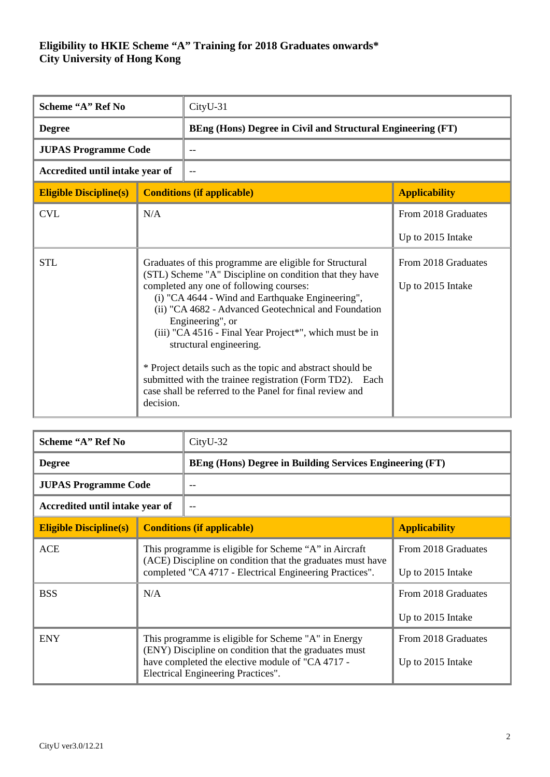| Scheme "A" Ref No               |                                                                                                                                                                                                                                                                                                                                                                                                                                                                                                                                                                                        | CityU-31                                                    |                                          |  |
|---------------------------------|----------------------------------------------------------------------------------------------------------------------------------------------------------------------------------------------------------------------------------------------------------------------------------------------------------------------------------------------------------------------------------------------------------------------------------------------------------------------------------------------------------------------------------------------------------------------------------------|-------------------------------------------------------------|------------------------------------------|--|
| <b>Degree</b>                   |                                                                                                                                                                                                                                                                                                                                                                                                                                                                                                                                                                                        | BEng (Hons) Degree in Civil and Structural Engineering (FT) |                                          |  |
| <b>JUPAS Programme Code</b>     |                                                                                                                                                                                                                                                                                                                                                                                                                                                                                                                                                                                        |                                                             |                                          |  |
| Accredited until intake year of |                                                                                                                                                                                                                                                                                                                                                                                                                                                                                                                                                                                        |                                                             |                                          |  |
| <b>Eligible Discipline(s)</b>   |                                                                                                                                                                                                                                                                                                                                                                                                                                                                                                                                                                                        | <b>Conditions (if applicable)</b>                           | <b>Applicability</b>                     |  |
| <b>CVL</b>                      | N/A                                                                                                                                                                                                                                                                                                                                                                                                                                                                                                                                                                                    |                                                             | From 2018 Graduates                      |  |
|                                 |                                                                                                                                                                                                                                                                                                                                                                                                                                                                                                                                                                                        |                                                             | Up to 2015 Intake                        |  |
| <b>STL</b>                      | Graduates of this programme are eligible for Structural<br>(STL) Scheme "A" Discipline on condition that they have<br>completed any one of following courses:<br>(i) "CA 4644 - Wind and Earthquake Engineering",<br>(ii) "CA 4682 - Advanced Geotechnical and Foundation<br>Engineering", or<br>(iii) "CA 4516 - Final Year Project*", which must be in<br>structural engineering.<br>* Project details such as the topic and abstract should be<br>submitted with the trainee registration (Form TD2). Each<br>case shall be referred to the Panel for final review and<br>decision. |                                                             | From 2018 Graduates<br>Up to 2015 Intake |  |

| Scheme "A" Ref No               |                                                                                                                                                                                                        | CityU-32                                                        |                                          |  |
|---------------------------------|--------------------------------------------------------------------------------------------------------------------------------------------------------------------------------------------------------|-----------------------------------------------------------------|------------------------------------------|--|
| <b>Degree</b>                   |                                                                                                                                                                                                        | <b>BEng (Hons) Degree in Building Services Engineering (FT)</b> |                                          |  |
| <b>JUPAS Programme Code</b>     |                                                                                                                                                                                                        |                                                                 |                                          |  |
| Accredited until intake year of |                                                                                                                                                                                                        | $-$                                                             |                                          |  |
| <b>Eligible Discipline(s)</b>   | <b>Conditions (if applicable)</b>                                                                                                                                                                      |                                                                 | <b>Applicability</b>                     |  |
| <b>ACE</b>                      | This programme is eligible for Scheme "A" in Aircraft<br>(ACE) Discipline on condition that the graduates must have<br>completed "CA 4717 - Electrical Engineering Practices".                         |                                                                 | From 2018 Graduates<br>Up to 2015 Intake |  |
| <b>BSS</b>                      | N/A                                                                                                                                                                                                    |                                                                 | From 2018 Graduates<br>Up to 2015 Intake |  |
| <b>ENY</b>                      | This programme is eligible for Scheme "A" in Energy<br>(ENY) Discipline on condition that the graduates must<br>have completed the elective module of "CA 4717 -<br>Electrical Engineering Practices". |                                                                 | From 2018 Graduates<br>Up to 2015 Intake |  |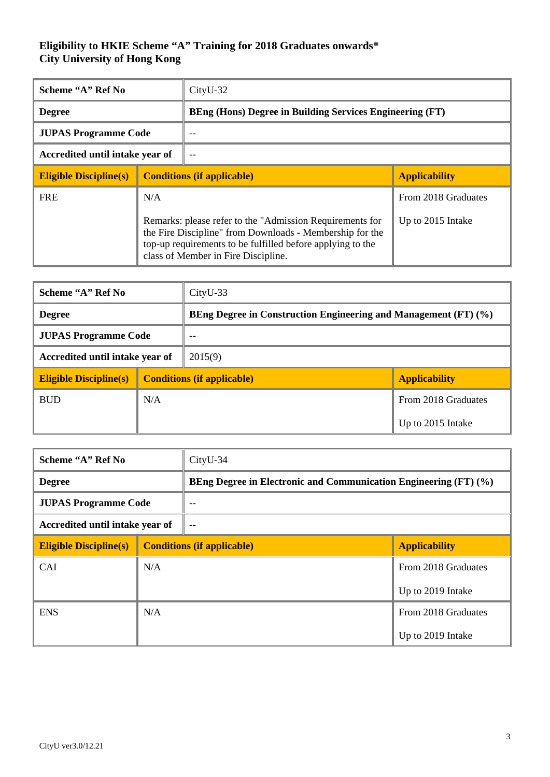| Scheme "A" Ref No                                                                                                                                                                                                         |                                   | $CityU-32$                                                      |                      |  |
|---------------------------------------------------------------------------------------------------------------------------------------------------------------------------------------------------------------------------|-----------------------------------|-----------------------------------------------------------------|----------------------|--|
| <b>Degree</b>                                                                                                                                                                                                             |                                   | <b>BEng (Hons) Degree in Building Services Engineering (FT)</b> |                      |  |
| <b>JUPAS Programme Code</b>                                                                                                                                                                                               |                                   |                                                                 |                      |  |
| Accredited until intake year of                                                                                                                                                                                           |                                   | $-$                                                             |                      |  |
| <b>Eligible Discipline(s)</b>                                                                                                                                                                                             | <b>Conditions (if applicable)</b> |                                                                 | <b>Applicability</b> |  |
| <b>FRE</b>                                                                                                                                                                                                                | N/A                               |                                                                 | From 2018 Graduates  |  |
| Remarks: please refer to the "Admission Requirements for<br>the Fire Discipline" from Downloads - Membership for the<br>top-up requirements to be fulfilled before applying to the<br>class of Member in Fire Discipline. |                                   | Up to 2015 Intake                                               |                      |  |

| Scheme "A" Ref No               |     | $CityU-33$                                                      |                      |  |
|---------------------------------|-----|-----------------------------------------------------------------|----------------------|--|
| <b>Degree</b>                   |     | BEng Degree in Construction Engineering and Management (FT) (%) |                      |  |
| <b>JUPAS Programme Code</b>     |     | --                                                              |                      |  |
| Accredited until intake year of |     | 2015(9)                                                         |                      |  |
| <b>Eligible Discipline(s)</b>   |     | <b>Conditions (if applicable)</b>                               | <b>Applicability</b> |  |
| <b>BUD</b>                      | N/A |                                                                 | From 2018 Graduates  |  |
|                                 |     |                                                                 | Up to 2015 Intake    |  |

| Scheme "A" Ref No               |     | $CityU-34$                                                       |                      |  |
|---------------------------------|-----|------------------------------------------------------------------|----------------------|--|
| <b>Degree</b>                   |     | BEng Degree in Electronic and Communication Engineering (FT) (%) |                      |  |
| <b>JUPAS Programme Code</b>     |     |                                                                  |                      |  |
| Accredited until intake year of |     | $-$                                                              |                      |  |
| <b>Eligible Discipline(s)</b>   |     | <b>Conditions (if applicable)</b>                                | <b>Applicability</b> |  |
| <b>CAI</b>                      | N/A |                                                                  | From 2018 Graduates  |  |
|                                 |     |                                                                  | Up to 2019 Intake    |  |
| <b>ENS</b>                      | N/A |                                                                  | From 2018 Graduates  |  |
|                                 |     |                                                                  | Up to 2019 Intake    |  |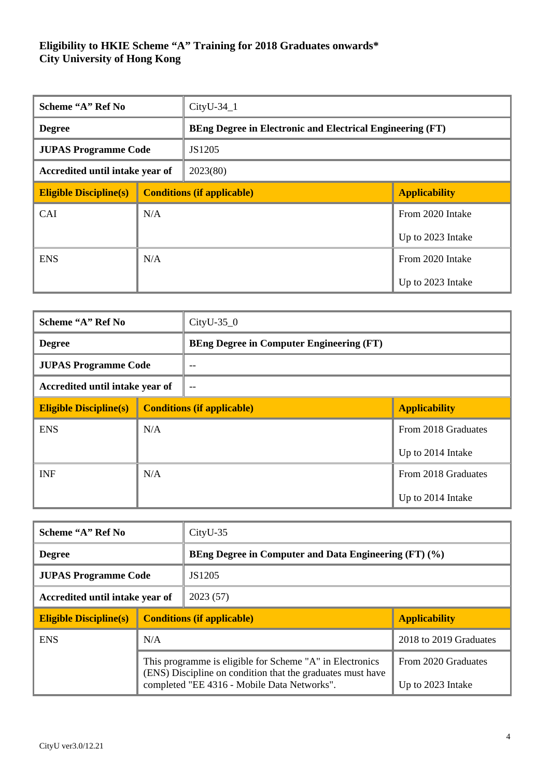| Scheme "A" Ref No               |     | $CityU-34_1$                      |                                                                  |  |
|---------------------------------|-----|-----------------------------------|------------------------------------------------------------------|--|
| <b>Degree</b>                   |     |                                   | <b>BEng Degree in Electronic and Electrical Engineering (FT)</b> |  |
| <b>JUPAS Programme Code</b>     |     | JS1205                            |                                                                  |  |
| Accredited until intake year of |     | 2023(80)                          |                                                                  |  |
| <b>Eligible Discipline(s)</b>   |     | <b>Conditions (if applicable)</b> | <b>Applicability</b>                                             |  |
| <b>CAI</b>                      | N/A |                                   | From 2020 Intake                                                 |  |
|                                 |     |                                   | Up to 2023 Intake                                                |  |
| <b>ENS</b>                      | N/A |                                   | From 2020 Intake                                                 |  |
|                                 |     |                                   | Up to 2023 Intake                                                |  |

| Scheme "A" Ref No               |     | $CityU-35_0$                                    |                      |  |
|---------------------------------|-----|-------------------------------------------------|----------------------|--|
| <b>Degree</b>                   |     | <b>BEng Degree in Computer Engineering (FT)</b> |                      |  |
| <b>JUPAS Programme Code</b>     |     |                                                 |                      |  |
| Accredited until intake year of |     | $-$                                             |                      |  |
| <b>Eligible Discipline(s)</b>   |     | <b>Conditions (if applicable)</b>               | <b>Applicability</b> |  |
| <b>ENS</b>                      | N/A |                                                 | From 2018 Graduates  |  |
|                                 |     |                                                 | Up to 2014 Intake    |  |
| <b>INF</b>                      | N/A |                                                 | From 2018 Graduates  |  |
|                                 |     |                                                 | Up to 2014 Intake    |  |

| Scheme "A" Ref No               |                                                                                                                                                                       | $CityU-35$                                            |                                          |  |
|---------------------------------|-----------------------------------------------------------------------------------------------------------------------------------------------------------------------|-------------------------------------------------------|------------------------------------------|--|
| <b>Degree</b>                   |                                                                                                                                                                       | BEng Degree in Computer and Data Engineering (FT) (%) |                                          |  |
| <b>JUPAS Programme Code</b>     |                                                                                                                                                                       | JS1205                                                |                                          |  |
| Accredited until intake year of |                                                                                                                                                                       | 2023(57)                                              |                                          |  |
| <b>Eligible Discipline(s)</b>   | <b>Conditions (if applicable)</b>                                                                                                                                     |                                                       | <b>Applicability</b>                     |  |
| <b>ENS</b>                      | N/A                                                                                                                                                                   |                                                       | 2018 to 2019 Graduates                   |  |
|                                 | This programme is eligible for Scheme "A" in Electronics<br>(ENS) Discipline on condition that the graduates must have<br>completed "EE 4316 - Mobile Data Networks". |                                                       | From 2020 Graduates<br>Up to 2023 Intake |  |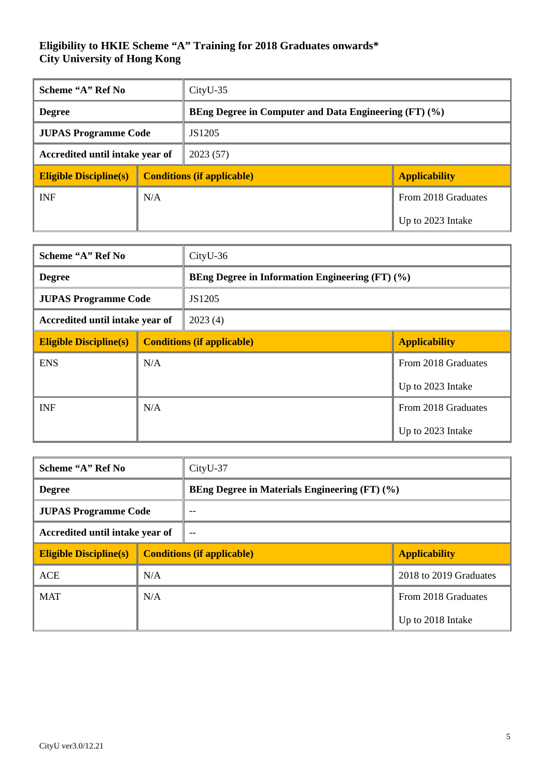| Scheme "A" Ref No               |        | $CityU-35$                                            |                      |  |
|---------------------------------|--------|-------------------------------------------------------|----------------------|--|
| <b>Degree</b>                   |        | BEng Degree in Computer and Data Engineering (FT) (%) |                      |  |
| <b>JUPAS Programme Code</b>     | JS1205 |                                                       |                      |  |
| Accredited until intake year of |        | 2023(57)                                              |                      |  |
| <b>Eligible Discipline(s)</b>   |        | <b>Conditions (if applicable)</b>                     | <b>Applicability</b> |  |
| <b>INF</b>                      | N/A    |                                                       | From 2018 Graduates  |  |
|                                 |        |                                                       | Up to 2023 Intake    |  |

| Scheme "A" Ref No               |     | $CityU-36$                        |                                                        |  |
|---------------------------------|-----|-----------------------------------|--------------------------------------------------------|--|
| <b>Degree</b>                   |     |                                   | <b>BEng Degree in Information Engineering (FT) (%)</b> |  |
| <b>JUPAS Programme Code</b>     |     | JS1205                            |                                                        |  |
| Accredited until intake year of |     | 2023(4)                           |                                                        |  |
| <b>Eligible Discipline(s)</b>   |     | <b>Conditions (if applicable)</b> | <b>Applicability</b>                                   |  |
| <b>ENS</b>                      | N/A |                                   | From 2018 Graduates                                    |  |
|                                 |     |                                   | Up to 2023 Intake                                      |  |
| <b>INF</b>                      | N/A |                                   | From 2018 Graduates                                    |  |
|                                 |     |                                   | Up to 2023 Intake                                      |  |

| Scheme "A" Ref No               |     | CityU-37                                             |                        |  |
|---------------------------------|-----|------------------------------------------------------|------------------------|--|
| <b>Degree</b>                   |     | <b>BEng Degree in Materials Engineering (FT) (%)</b> |                        |  |
| <b>JUPAS Programme Code</b>     |     | $-$                                                  |                        |  |
| Accredited until intake year of |     | $-$                                                  |                        |  |
| <b>Eligible Discipline(s)</b>   |     | <b>Conditions (if applicable)</b>                    | <b>Applicability</b>   |  |
| <b>ACE</b>                      | N/A |                                                      | 2018 to 2019 Graduates |  |
| <b>MAT</b>                      | N/A |                                                      | From 2018 Graduates    |  |
|                                 |     |                                                      | Up to 2018 Intake      |  |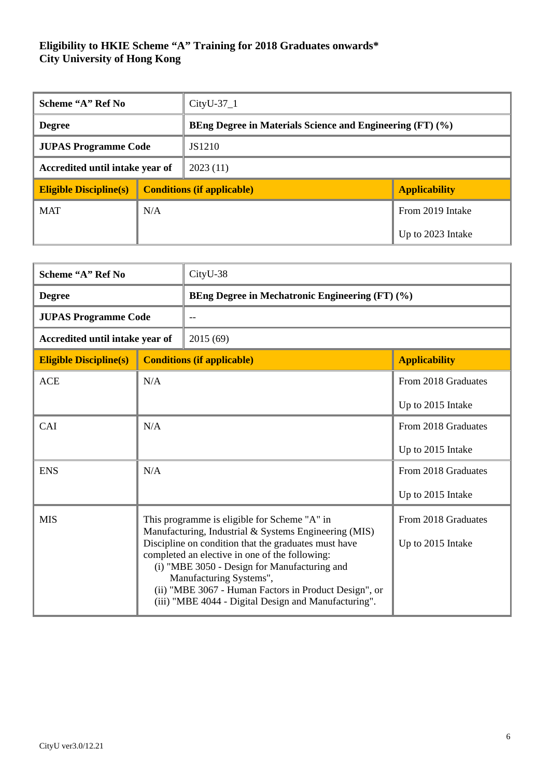| Scheme "A" Ref No               |     | $CityU-37_1$                                                     |                      |  |
|---------------------------------|-----|------------------------------------------------------------------|----------------------|--|
| <b>Degree</b>                   |     | <b>BEng Degree in Materials Science and Engineering (FT) (%)</b> |                      |  |
| <b>JUPAS Programme Code</b>     |     | JS1210                                                           |                      |  |
| Accredited until intake year of |     | 2023(11)                                                         |                      |  |
| <b>Eligible Discipline(s)</b>   |     | <b>Conditions (if applicable)</b>                                | <b>Applicability</b> |  |
| <b>MAT</b>                      | N/A |                                                                  | From 2019 Intake     |  |
|                                 |     |                                                                  | Up to 2023 Intake    |  |

| Scheme "A" Ref No               |                                                                                                                                                                                                                                                                                                    | CityU-38                                               |                      |  |
|---------------------------------|----------------------------------------------------------------------------------------------------------------------------------------------------------------------------------------------------------------------------------------------------------------------------------------------------|--------------------------------------------------------|----------------------|--|
| <b>Degree</b>                   |                                                                                                                                                                                                                                                                                                    | <b>BEng Degree in Mechatronic Engineering (FT) (%)</b> |                      |  |
| <b>JUPAS Programme Code</b>     |                                                                                                                                                                                                                                                                                                    |                                                        |                      |  |
| Accredited until intake year of |                                                                                                                                                                                                                                                                                                    | 2015 (69)                                              |                      |  |
| <b>Eligible Discipline(s)</b>   |                                                                                                                                                                                                                                                                                                    | <b>Conditions (if applicable)</b>                      | <b>Applicability</b> |  |
| <b>ACE</b>                      | N/A                                                                                                                                                                                                                                                                                                |                                                        | From 2018 Graduates  |  |
|                                 |                                                                                                                                                                                                                                                                                                    |                                                        | Up to 2015 Intake    |  |
| CAI                             | N/A                                                                                                                                                                                                                                                                                                |                                                        | From 2018 Graduates  |  |
|                                 |                                                                                                                                                                                                                                                                                                    |                                                        | Up to 2015 Intake    |  |
| <b>ENS</b>                      | N/A                                                                                                                                                                                                                                                                                                |                                                        | From 2018 Graduates  |  |
|                                 |                                                                                                                                                                                                                                                                                                    |                                                        | Up to 2015 Intake    |  |
| <b>MIS</b>                      | This programme is eligible for Scheme "A" in<br>Manufacturing, Industrial & Systems Engineering (MIS)                                                                                                                                                                                              |                                                        | From 2018 Graduates  |  |
|                                 | Discipline on condition that the graduates must have<br>completed an elective in one of the following:<br>(i) "MBE 3050 - Design for Manufacturing and<br>Manufacturing Systems",<br>(ii) "MBE 3067 - Human Factors in Product Design", or<br>(iii) "MBE 4044 - Digital Design and Manufacturing". |                                                        | Up to 2015 Intake    |  |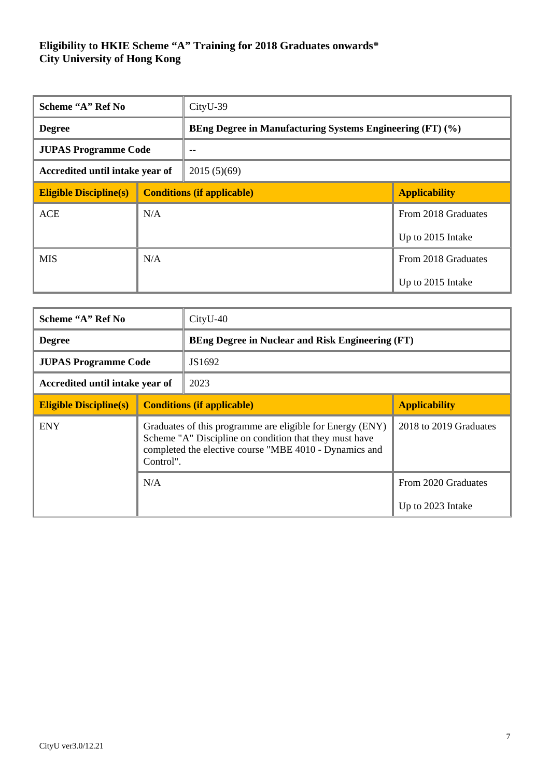| Scheme "A" Ref No               |     | CityU-39                                                  |                      |
|---------------------------------|-----|-----------------------------------------------------------|----------------------|
| <b>Degree</b>                   |     | BEng Degree in Manufacturing Systems Engineering (FT) (%) |                      |
| <b>JUPAS Programme Code</b>     |     | --                                                        |                      |
| Accredited until intake year of |     | 2015(5)(69)                                               |                      |
| <b>Eligible Discipline(s)</b>   |     | <b>Conditions (if applicable)</b>                         | <b>Applicability</b> |
| <b>ACE</b>                      | N/A |                                                           | From 2018 Graduates  |
|                                 |     |                                                           | Up to 2015 Intake    |
| <b>MIS</b>                      | N/A |                                                           | From 2018 Graduates  |
|                                 |     |                                                           | Up to 2015 Intake    |

| Scheme "A" Ref No               |                                                                                                                                                                                            | $CityU-40$                        |                                                         |  |
|---------------------------------|--------------------------------------------------------------------------------------------------------------------------------------------------------------------------------------------|-----------------------------------|---------------------------------------------------------|--|
| <b>Degree</b>                   |                                                                                                                                                                                            |                                   | <b>BEng Degree in Nuclear and Risk Engineering (FT)</b> |  |
| <b>JUPAS Programme Code</b>     |                                                                                                                                                                                            | JS1692                            |                                                         |  |
| Accredited until intake year of |                                                                                                                                                                                            | 2023                              |                                                         |  |
| <b>Eligible Discipline(s)</b>   |                                                                                                                                                                                            | <b>Conditions (if applicable)</b> | <b>Applicability</b>                                    |  |
| <b>ENY</b>                      | Graduates of this programme are eligible for Energy (ENY)<br>Scheme "A" Discipline on condition that they must have<br>completed the elective course "MBE 4010 - Dynamics and<br>Control". |                                   | 2018 to 2019 Graduates                                  |  |
|                                 | N/A                                                                                                                                                                                        |                                   | From 2020 Graduates                                     |  |
|                                 |                                                                                                                                                                                            |                                   | Up to 2023 Intake                                       |  |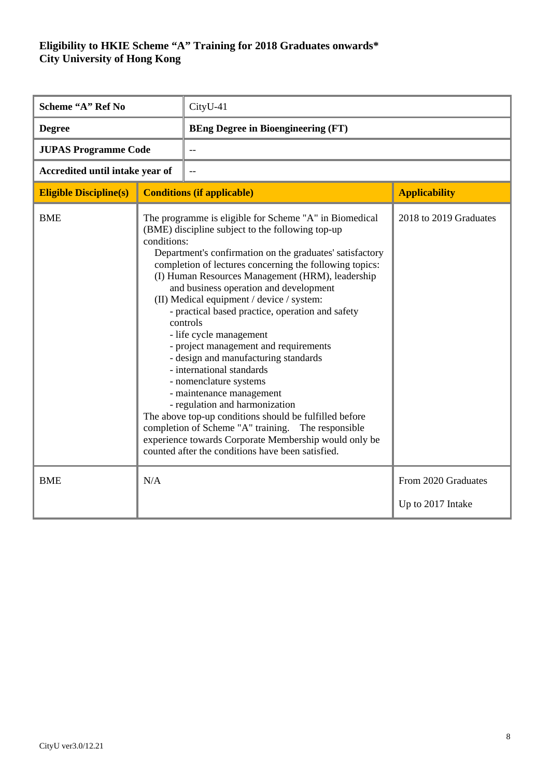| Scheme "A" Ref No               |                                                                                                                                                                                                                                                                                                                                                                                                                                                                                                                                                                                                                                                                                                                                                                                                                                                                                                                                                                 | CityU-41                                  |                                          |
|---------------------------------|-----------------------------------------------------------------------------------------------------------------------------------------------------------------------------------------------------------------------------------------------------------------------------------------------------------------------------------------------------------------------------------------------------------------------------------------------------------------------------------------------------------------------------------------------------------------------------------------------------------------------------------------------------------------------------------------------------------------------------------------------------------------------------------------------------------------------------------------------------------------------------------------------------------------------------------------------------------------|-------------------------------------------|------------------------------------------|
| <b>Degree</b>                   |                                                                                                                                                                                                                                                                                                                                                                                                                                                                                                                                                                                                                                                                                                                                                                                                                                                                                                                                                                 | <b>BEng Degree in Bioengineering (FT)</b> |                                          |
| <b>JUPAS Programme Code</b>     |                                                                                                                                                                                                                                                                                                                                                                                                                                                                                                                                                                                                                                                                                                                                                                                                                                                                                                                                                                 | $-$                                       |                                          |
| Accredited until intake year of |                                                                                                                                                                                                                                                                                                                                                                                                                                                                                                                                                                                                                                                                                                                                                                                                                                                                                                                                                                 |                                           |                                          |
| <b>Eligible Discipline(s)</b>   |                                                                                                                                                                                                                                                                                                                                                                                                                                                                                                                                                                                                                                                                                                                                                                                                                                                                                                                                                                 |                                           | <b>Applicability</b>                     |
| <b>BME</b>                      | <b>Conditions (if applicable)</b><br>The programme is eligible for Scheme "A" in Biomedical<br>(BME) discipline subject to the following top-up<br>conditions:<br>Department's confirmation on the graduates' satisfactory<br>completion of lectures concerning the following topics:<br>(I) Human Resources Management (HRM), leadership<br>and business operation and development<br>(II) Medical equipment / device / system:<br>- practical based practice, operation and safety<br>controls<br>- life cycle management<br>- project management and requirements<br>- design and manufacturing standards<br>- international standards<br>- nomenclature systems<br>- maintenance management<br>- regulation and harmonization<br>The above top-up conditions should be fulfilled before<br>completion of Scheme "A" training. The responsible<br>experience towards Corporate Membership would only be<br>counted after the conditions have been satisfied. |                                           | 2018 to 2019 Graduates                   |
| <b>BME</b>                      | N/A                                                                                                                                                                                                                                                                                                                                                                                                                                                                                                                                                                                                                                                                                                                                                                                                                                                                                                                                                             |                                           | From 2020 Graduates<br>Up to 2017 Intake |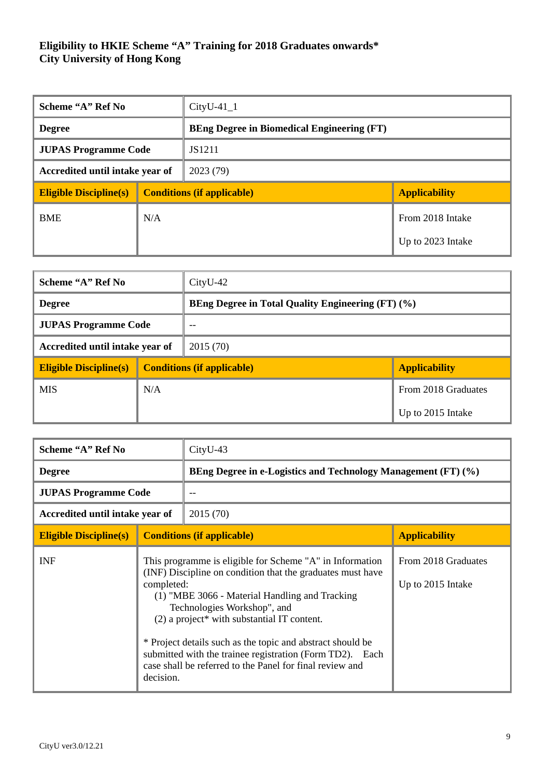| Scheme "A" Ref No               |     | $CityU-41_1$                                      |                      |
|---------------------------------|-----|---------------------------------------------------|----------------------|
| <b>Degree</b>                   |     | <b>BEng Degree in Biomedical Engineering (FT)</b> |                      |
| <b>JUPAS Programme Code</b>     |     | JS1211                                            |                      |
| Accredited until intake year of |     | 2023(79)                                          |                      |
| <b>Eligible Discipline(s)</b>   |     | <b>Conditions (if applicable)</b>                 | <b>Applicability</b> |
| <b>BME</b>                      | N/A |                                                   | From 2018 Intake     |
|                                 |     |                                                   | Up to 2023 Intake    |

| Scheme "A" Ref No                           |     | $CityU-42$                                               |                      |  |
|---------------------------------------------|-----|----------------------------------------------------------|----------------------|--|
| <b>Degree</b>                               |     | <b>BEng Degree in Total Quality Engineering (FT) (%)</b> |                      |  |
| <b>JUPAS Programme Code</b>                 |     | $-$                                                      |                      |  |
| Accredited until intake year of<br>2015(70) |     |                                                          |                      |  |
| <b>Eligible Discipline(s)</b>               |     | <b>Conditions (if applicable)</b>                        | <b>Applicability</b> |  |
| <b>MIS</b>                                  | N/A |                                                          | From 2018 Graduates  |  |
|                                             |     |                                                          | Up to 2015 Intake    |  |

| Scheme "A" Ref No               |                                   | CityU-43                                                                                                                                                                                                                                                                                                                                                                                                                                       |                                          |
|---------------------------------|-----------------------------------|------------------------------------------------------------------------------------------------------------------------------------------------------------------------------------------------------------------------------------------------------------------------------------------------------------------------------------------------------------------------------------------------------------------------------------------------|------------------------------------------|
| <b>Degree</b>                   |                                   | BEng Degree in e-Logistics and Technology Management (FT) (%)                                                                                                                                                                                                                                                                                                                                                                                  |                                          |
| <b>JUPAS Programme Code</b>     |                                   |                                                                                                                                                                                                                                                                                                                                                                                                                                                |                                          |
| Accredited until intake year of |                                   | 2015 (70)                                                                                                                                                                                                                                                                                                                                                                                                                                      |                                          |
| <b>Eligible Discipline(s)</b>   | <b>Conditions (if applicable)</b> |                                                                                                                                                                                                                                                                                                                                                                                                                                                | <b>Applicability</b>                     |
| INF                             | completed:<br>decision.           | This programme is eligible for Scheme "A" in Information<br>(INF) Discipline on condition that the graduates must have<br>(1) "MBE 3066 - Material Handling and Tracking<br>Technologies Workshop", and<br>$(2)$ a project* with substantial IT content.<br>* Project details such as the topic and abstract should be<br>submitted with the trainee registration (Form TD2). Each<br>case shall be referred to the Panel for final review and | From 2018 Graduates<br>Up to 2015 Intake |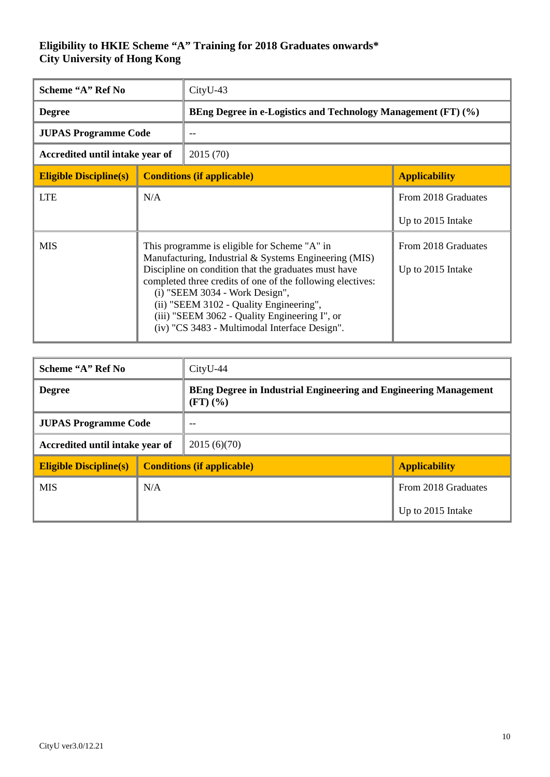| Scheme "A" Ref No               |                                                                                                                                                                                                                                                                                                                                                                                                            | CityU-43  |                                                               |  |
|---------------------------------|------------------------------------------------------------------------------------------------------------------------------------------------------------------------------------------------------------------------------------------------------------------------------------------------------------------------------------------------------------------------------------------------------------|-----------|---------------------------------------------------------------|--|
| <b>Degree</b>                   |                                                                                                                                                                                                                                                                                                                                                                                                            |           | BEng Degree in e-Logistics and Technology Management (FT) (%) |  |
| <b>JUPAS Programme Code</b>     |                                                                                                                                                                                                                                                                                                                                                                                                            |           |                                                               |  |
| Accredited until intake year of |                                                                                                                                                                                                                                                                                                                                                                                                            | 2015 (70) |                                                               |  |
| <b>Eligible Discipline(s)</b>   | <b>Conditions (if applicable)</b>                                                                                                                                                                                                                                                                                                                                                                          |           | <b>Applicability</b>                                          |  |
| <b>LTE</b>                      | N/A                                                                                                                                                                                                                                                                                                                                                                                                        |           | From 2018 Graduates                                           |  |
|                                 |                                                                                                                                                                                                                                                                                                                                                                                                            |           | Up to 2015 Intake                                             |  |
| <b>MIS</b>                      | This programme is eligible for Scheme "A" in<br>Manufacturing, Industrial & Systems Engineering (MIS)<br>Discipline on condition that the graduates must have<br>completed three credits of one of the following electives:<br>(i) "SEEM 3034 - Work Design",<br>(ii) "SEEM 3102 - Quality Engineering",<br>(iii) "SEEM 3062 - Quality Engineering I", or<br>(iv) "CS 3483 - Multimodal Interface Design". |           | From 2018 Graduates<br>Up to 2015 Intake                      |  |

| Scheme "A" Ref No               |                                   | $CityU-44$                                                                                 |                      |
|---------------------------------|-----------------------------------|--------------------------------------------------------------------------------------------|----------------------|
| <b>Degree</b>                   |                                   | BEng Degree in Industrial Engineering and Engineering Management<br>$(FT)$ $(\frac{9}{6})$ |                      |
| <b>JUPAS Programme Code</b>     |                                   | --                                                                                         |                      |
| Accredited until intake year of |                                   | 2015(6)(70)                                                                                |                      |
| <b>Eligible Discipline(s)</b>   | <b>Conditions (if applicable)</b> |                                                                                            | <b>Applicability</b> |
| <b>MIS</b>                      | N/A                               |                                                                                            | From 2018 Graduates  |
|                                 |                                   |                                                                                            | Up to 2015 Intake    |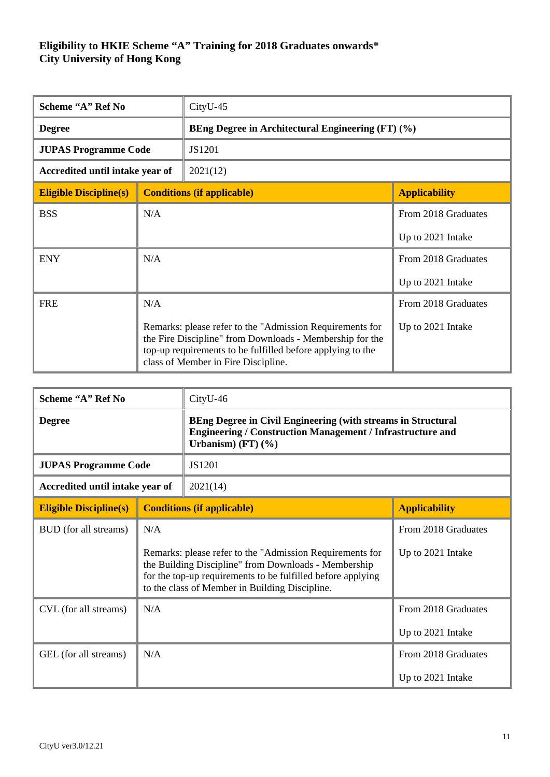| Scheme "A" Ref No               |                                                                                                                                                                                                                           | CityU-45                                          |                      |  |
|---------------------------------|---------------------------------------------------------------------------------------------------------------------------------------------------------------------------------------------------------------------------|---------------------------------------------------|----------------------|--|
| <b>Degree</b>                   |                                                                                                                                                                                                                           | BEng Degree in Architectural Engineering (FT) (%) |                      |  |
| <b>JUPAS Programme Code</b>     |                                                                                                                                                                                                                           | JS1201                                            |                      |  |
| Accredited until intake year of |                                                                                                                                                                                                                           | 2021(12)                                          |                      |  |
| <b>Eligible Discipline(s)</b>   |                                                                                                                                                                                                                           | <b>Conditions (if applicable)</b>                 | <b>Applicability</b> |  |
| <b>BSS</b>                      | N/A                                                                                                                                                                                                                       |                                                   | From 2018 Graduates  |  |
|                                 |                                                                                                                                                                                                                           |                                                   | Up to 2021 Intake    |  |
| <b>ENY</b>                      | N/A                                                                                                                                                                                                                       |                                                   | From 2018 Graduates  |  |
|                                 |                                                                                                                                                                                                                           |                                                   | Up to 2021 Intake    |  |
| <b>FRE</b>                      | N/A                                                                                                                                                                                                                       |                                                   | From 2018 Graduates  |  |
|                                 | Remarks: please refer to the "Admission Requirements for<br>the Fire Discipline" from Downloads - Membership for the<br>top-up requirements to be fulfilled before applying to the<br>class of Member in Fire Discipline. |                                                   | Up to 2021 Intake    |  |

| Scheme "A" Ref No               |                                                                                                                                                                                                                                          | CityU-46                                                                                                                                                                     |                                          |  |
|---------------------------------|------------------------------------------------------------------------------------------------------------------------------------------------------------------------------------------------------------------------------------------|------------------------------------------------------------------------------------------------------------------------------------------------------------------------------|------------------------------------------|--|
| <b>Degree</b>                   |                                                                                                                                                                                                                                          | <b>BEng Degree in Civil Engineering (with streams in Structural</b><br><b>Engineering / Construction Management / Infrastructure and</b><br>Urbanism) $(FT)$ $(\frac{6}{6})$ |                                          |  |
| <b>JUPAS Programme Code</b>     |                                                                                                                                                                                                                                          | JS1201                                                                                                                                                                       |                                          |  |
| Accredited until intake year of |                                                                                                                                                                                                                                          | 2021(14)                                                                                                                                                                     |                                          |  |
| <b>Eligible Discipline(s)</b>   | <b>Conditions (if applicable)</b>                                                                                                                                                                                                        |                                                                                                                                                                              | <b>Applicability</b>                     |  |
| BUD (for all streams)           | N/A<br>Remarks: please refer to the "Admission Requirements for<br>the Building Discipline" from Downloads - Membership<br>for the top-up requirements to be fulfilled before applying<br>to the class of Member in Building Discipline. |                                                                                                                                                                              | From 2018 Graduates<br>Up to 2021 Intake |  |
| CVL (for all streams)           | N/A                                                                                                                                                                                                                                      |                                                                                                                                                                              | From 2018 Graduates<br>Up to 2021 Intake |  |
| GEL (for all streams)           | N/A                                                                                                                                                                                                                                      |                                                                                                                                                                              | From 2018 Graduates<br>Up to 2021 Intake |  |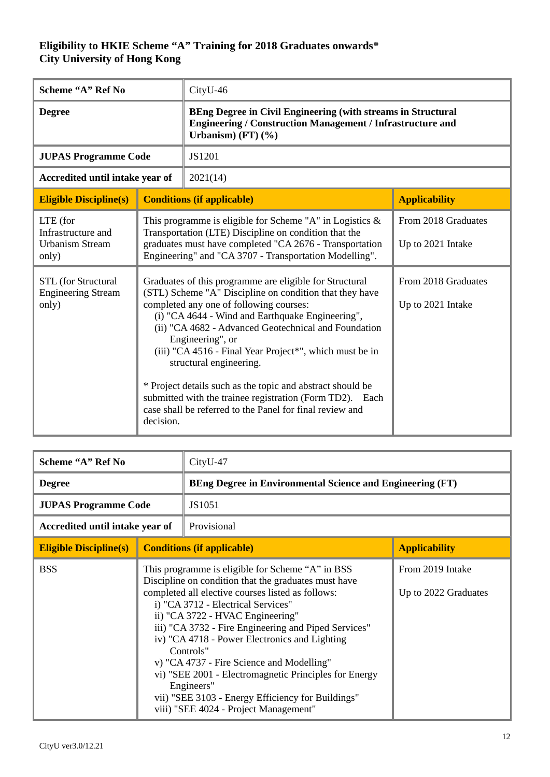| Scheme "A" Ref No                                                 |           | CityU-46                                                                                                                                                                                                                                                                                                                                                                                                                                                                                                                                                                  |                                          |
|-------------------------------------------------------------------|-----------|---------------------------------------------------------------------------------------------------------------------------------------------------------------------------------------------------------------------------------------------------------------------------------------------------------------------------------------------------------------------------------------------------------------------------------------------------------------------------------------------------------------------------------------------------------------------------|------------------------------------------|
| <b>Degree</b>                                                     |           | <b>BEng Degree in Civil Engineering (with streams in Structural</b><br><b>Engineering / Construction Management / Infrastructure and</b><br>Urbanism) $(FT)$ $(\frac{9}{6})$                                                                                                                                                                                                                                                                                                                                                                                              |                                          |
| <b>JUPAS Programme Code</b>                                       |           | JS1201                                                                                                                                                                                                                                                                                                                                                                                                                                                                                                                                                                    |                                          |
| Accredited until intake year of                                   |           | 2021(14)                                                                                                                                                                                                                                                                                                                                                                                                                                                                                                                                                                  |                                          |
| <b>Eligible Discipline(s)</b>                                     |           | <b>Conditions (if applicable)</b>                                                                                                                                                                                                                                                                                                                                                                                                                                                                                                                                         | <b>Applicability</b>                     |
| LTE (for<br>Infrastructure and<br><b>Urbanism Stream</b><br>only) |           | From 2018 Graduates<br>This programme is eligible for Scheme "A" in Logistics $\&$<br>Transportation (LTE) Discipline on condition that the<br>graduates must have completed "CA 2676 - Transportation<br>Up to 2021 Intake<br>Engineering" and "CA 3707 - Transportation Modelling".                                                                                                                                                                                                                                                                                     |                                          |
| STL (for Structural<br><b>Engineering Stream</b><br>only)         | decision. | Graduates of this programme are eligible for Structural<br>(STL) Scheme "A" Discipline on condition that they have<br>completed any one of following courses:<br>(i) "CA 4644 - Wind and Earthquake Engineering",<br>(ii) "CA 4682 - Advanced Geotechnical and Foundation<br>Engineering", or<br>(iii) "CA 4516 - Final Year Project*", which must be in<br>structural engineering.<br>* Project details such as the topic and abstract should be<br>submitted with the trainee registration (Form TD2). Each<br>case shall be referred to the Panel for final review and | From 2018 Graduates<br>Up to 2021 Intake |

| Scheme "A" Ref No               |                                                                                                                                                                                                                                                                                                                                                                                                                                                                                                                                                                                 | CityU-47                                                         |                                          |
|---------------------------------|---------------------------------------------------------------------------------------------------------------------------------------------------------------------------------------------------------------------------------------------------------------------------------------------------------------------------------------------------------------------------------------------------------------------------------------------------------------------------------------------------------------------------------------------------------------------------------|------------------------------------------------------------------|------------------------------------------|
| <b>Degree</b>                   |                                                                                                                                                                                                                                                                                                                                                                                                                                                                                                                                                                                 | <b>BEng Degree in Environmental Science and Engineering (FT)</b> |                                          |
| <b>JUPAS Programme Code</b>     |                                                                                                                                                                                                                                                                                                                                                                                                                                                                                                                                                                                 | JS1051                                                           |                                          |
| Accredited until intake year of |                                                                                                                                                                                                                                                                                                                                                                                                                                                                                                                                                                                 | Provisional                                                      |                                          |
| <b>Eligible Discipline(s)</b>   |                                                                                                                                                                                                                                                                                                                                                                                                                                                                                                                                                                                 | <b>Conditions (if applicable)</b>                                | <b>Applicability</b>                     |
| <b>BSS</b>                      | This programme is eligible for Scheme "A" in BSS<br>Discipline on condition that the graduates must have<br>completed all elective courses listed as follows:<br>i) "CA 3712 - Electrical Services"<br>ii) "CA 3722 - HVAC Engineering"<br>iii) "CA 3732 - Fire Engineering and Piped Services"<br>iv) "CA 4718 - Power Electronics and Lighting<br>Controls"<br>v) "CA 4737 - Fire Science and Modelling"<br>vi) "SEE 2001 - Electromagnetic Principles for Energy<br>Engineers"<br>vii) "SEE 3103 - Energy Efficiency for Buildings"<br>viii) "SEE 4024 - Project Management" |                                                                  | From 2019 Intake<br>Up to 2022 Graduates |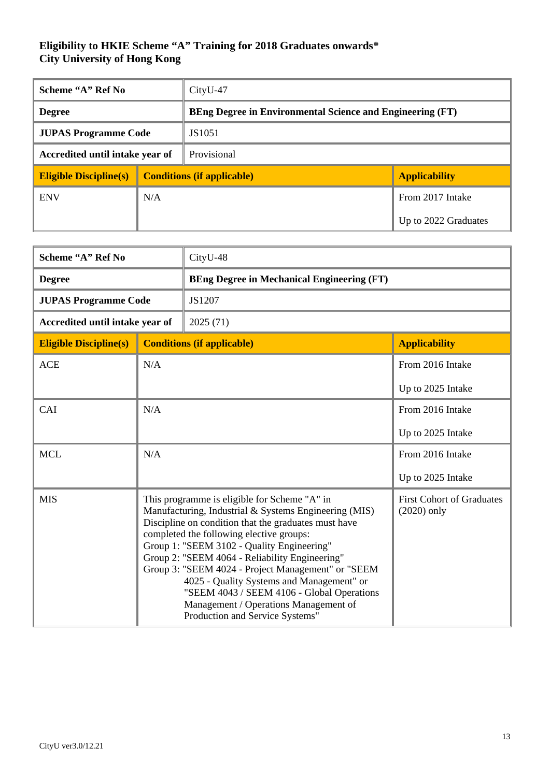| Scheme "A" Ref No               |                                   | $CityU-47$                                                       |                      |
|---------------------------------|-----------------------------------|------------------------------------------------------------------|----------------------|
| <b>Degree</b>                   |                                   | <b>BEng Degree in Environmental Science and Engineering (FT)</b> |                      |
| <b>JUPAS Programme Code</b>     |                                   | JS1051                                                           |                      |
| Accredited until intake year of |                                   | Provisional                                                      |                      |
| <b>Eligible Discipline(s)</b>   | <b>Conditions (if applicable)</b> |                                                                  | <b>Applicability</b> |
| <b>ENV</b>                      | N/A                               |                                                                  | From 2017 Intake     |
|                                 |                                   |                                                                  | Up to 2022 Graduates |

| Scheme "A" Ref No               |                                                                                                                                                                                                                                                                                                                                                                                                                                                                                                                                        | CityU-48                                          |                                                   |
|---------------------------------|----------------------------------------------------------------------------------------------------------------------------------------------------------------------------------------------------------------------------------------------------------------------------------------------------------------------------------------------------------------------------------------------------------------------------------------------------------------------------------------------------------------------------------------|---------------------------------------------------|---------------------------------------------------|
| <b>Degree</b>                   |                                                                                                                                                                                                                                                                                                                                                                                                                                                                                                                                        | <b>BEng Degree in Mechanical Engineering (FT)</b> |                                                   |
| <b>JUPAS Programme Code</b>     |                                                                                                                                                                                                                                                                                                                                                                                                                                                                                                                                        | JS1207                                            |                                                   |
| Accredited until intake year of |                                                                                                                                                                                                                                                                                                                                                                                                                                                                                                                                        | 2025 (71)                                         |                                                   |
| <b>Eligible Discipline(s)</b>   | <b>Conditions (if applicable)</b>                                                                                                                                                                                                                                                                                                                                                                                                                                                                                                      |                                                   | <b>Applicability</b>                              |
| <b>ACE</b>                      | N/A                                                                                                                                                                                                                                                                                                                                                                                                                                                                                                                                    |                                                   | From 2016 Intake                                  |
|                                 |                                                                                                                                                                                                                                                                                                                                                                                                                                                                                                                                        |                                                   | Up to 2025 Intake                                 |
| CAI                             | N/A                                                                                                                                                                                                                                                                                                                                                                                                                                                                                                                                    |                                                   | From 2016 Intake                                  |
|                                 |                                                                                                                                                                                                                                                                                                                                                                                                                                                                                                                                        |                                                   | Up to 2025 Intake                                 |
| <b>MCL</b>                      | N/A                                                                                                                                                                                                                                                                                                                                                                                                                                                                                                                                    |                                                   | From 2016 Intake                                  |
|                                 |                                                                                                                                                                                                                                                                                                                                                                                                                                                                                                                                        |                                                   | Up to 2025 Intake                                 |
| <b>MIS</b>                      | This programme is eligible for Scheme "A" in<br>Manufacturing, Industrial & Systems Engineering (MIS)<br>Discipline on condition that the graduates must have<br>completed the following elective groups:<br>Group 1: "SEEM 3102 - Quality Engineering"<br>Group 2: "SEEM 4064 - Reliability Engineering"<br>Group 3: "SEEM 4024 - Project Management" or "SEEM<br>4025 - Quality Systems and Management" or<br>"SEEM 4043 / SEEM 4106 - Global Operations<br>Management / Operations Management of<br>Production and Service Systems" |                                                   | <b>First Cohort of Graduates</b><br>$(2020)$ only |